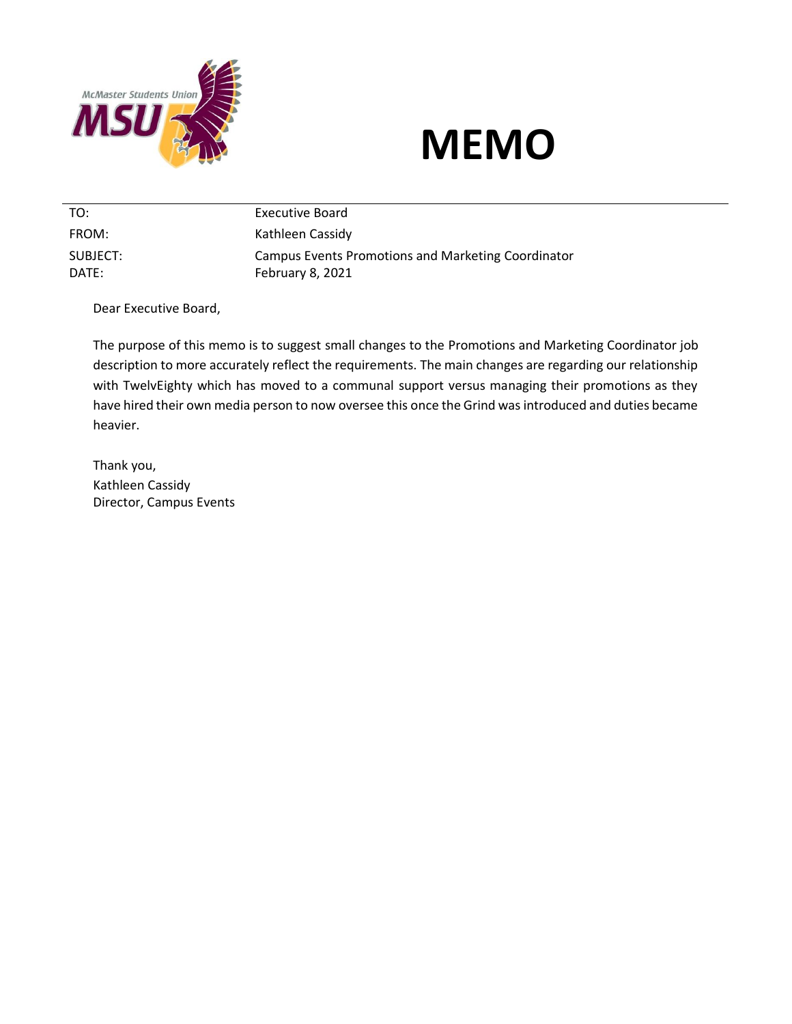

## **MEMO**

TO: Executive Board FROM: Kathleen Cassidy SUBJECT: DATE: Campus Events Promotions and Marketing Coordinator February 8, 2021

Dear Executive Board,

The purpose of this memo is to suggest small changes to the Promotions and Marketing Coordinator job description to more accurately reflect the requirements. The main changes are regarding our relationship with TwelvEighty which has moved to a communal support versus managing their promotions as they have hired their own media person to now oversee this once the Grind was introduced and duties became heavier.

Thank you, Kathleen Cassidy Director, Campus Events